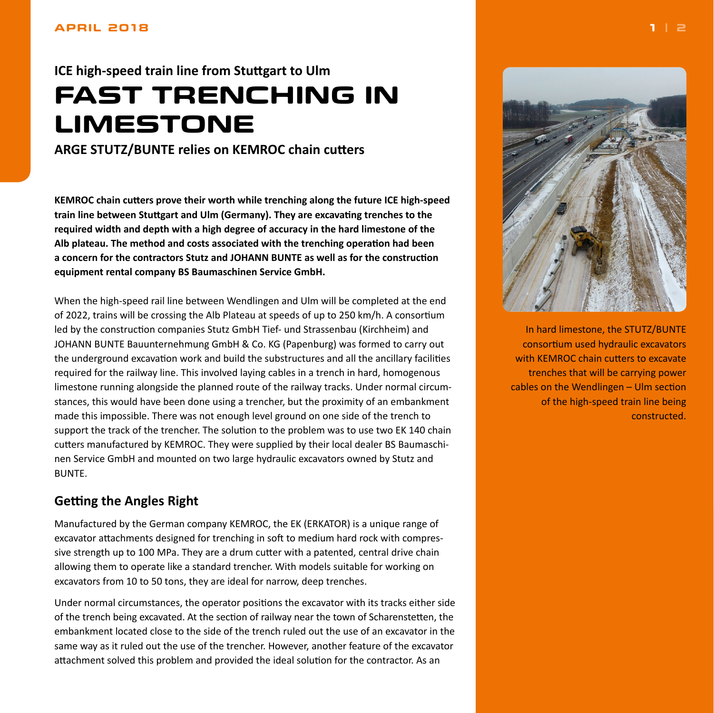#### <span id="page-0-0"></span>**APRIL 2018**

# **ICE high-speed train line from Stuttgart to Ulm FAST TRENCHING IN LIMESTONE**

**ARGE STUTZ/BUNTE relies on KEMROC chain cutters**

**KEMROC chain cutters prove their worth while trenching along the future ICE high-speed train line between Stuttgart and Ulm (Germany). They are excavating trenches to the required width and depth with a high degree of accuracy in the hard limestone of the Alb plateau. The method and costs associated with the trenching operation had been a concern for the contractors Stutz and JOHANN BUNTE as well as for the construction equipment rental company BS Baumaschinen Service GmbH.**

When the high-speed rail line between Wendlingen and Ulm will be completed at the end of 2022, trains will be crossing the Alb Plateau at speeds of up to 250 km/h. A consortium led by the construction companies Stutz GmbH Tief- und Strassenbau (Kirchheim) and JOHANN BUNTE Bauunternehmung GmbH & Co. KG (Papenburg) was formed to carry out the underground excavation work and build the substructures and all the ancillary facilities required for the railway line. This involved laying cables in a trench in hard, homogenous limestone running alongside the planned route of the railway tracks. Under normal circumstances, this would have been done using a trencher, but the proximity of an embankment made this impossible. There was not enough level ground on one side of the trench to support the track of the trencher. The solution to the problem was to use two EK 140 chain cutters manufactured by KEMROC. They were supplied by their local dealer BS Baumaschinen Service GmbH and mounted on two large hydraulic excavators owned by Stutz and BUNTE.

## **Getting the Angles Right**

Manufactured by the German company KEMROC, the EK (ERKATOR) is a unique range of excavator attachments designed for trenching in soft to medium hard rock with compressive strength up to 100 MPa. They are a drum cutter with a patented, central drive chain allowing them to operate like a standard trencher. With models suitable for working on excavators from 10 to 50 tons, they are ideal for narrow, deep trenches.

Under normal circumstances, the operator positions the excavator with its tracks either side of the trench being excavated. At the section of railway near the town of Scharenstetten, the embankment located close to the side of the trench ruled out the use of an excavator in the same way as it ruled out the use of the trencher. However, another feature of the excavator attachment solved this problem and provided the ideal solution for the contractor. As an



In hard limestone, the STUTZ/BUNTE consortium used hydraulic excavators with KEMROC chain cutters to excavate trenches that will be carrying power cables on the Wendlingen – Ulm section of the high-speed train line being constructed.